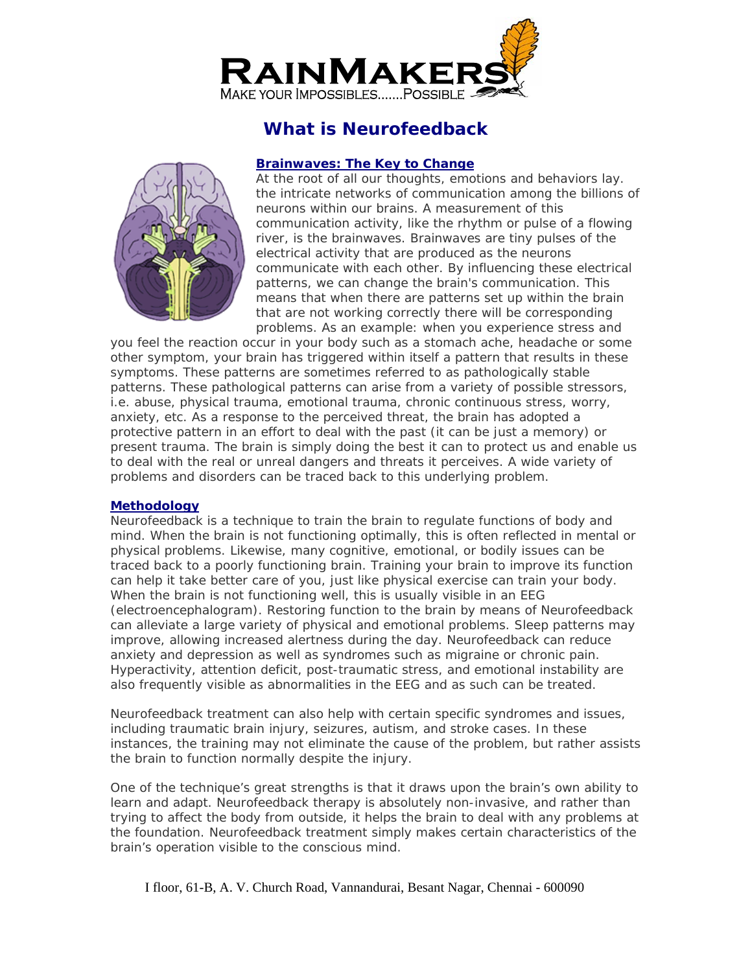

# **What is Neurofeedback**

#### **Brainwaves: The Key to Change**



At the root of all our thoughts, emotions and behaviors lay. the intricate networks of communication among the billions of neurons within our brains. A measurement of this communication activity, like the rhythm or pulse of a flowing river, is the brainwaves. Brainwaves are tiny pulses of the electrical activity that are produced as the neurons communicate with each other. By influencing these electrical patterns, we can change the brain's communication. This means that when there are patterns set up within the brain that are not working correctly there will be corresponding problems. As an example: when you experience stress and

you feel the reaction occur in your body such as a stomach ache, headache or some other symptom, your brain has triggered within itself a pattern that results in these symptoms. These patterns are sometimes referred to as pathologically stable patterns. These pathological patterns can arise from a variety of possible stressors, i.e. abuse, physical trauma, emotional trauma, chronic continuous stress, worry, anxiety, etc. As a response to the perceived threat, the brain has adopted a protective pattern in an effort to deal with the past (it can be just a memory) or present trauma. The brain is simply doing the best it can to protect us and enable us to deal with the real or unreal dangers and threats it perceives. A wide variety of problems and disorders can be traced back to this underlying problem.

### **Methodology**

Neurofeedback is a technique to train the brain to regulate functions of body and mind. When the brain is not functioning optimally, this is often reflected in mental or physical problems. Likewise, many cognitive, emotional, or bodily issues can be traced back to a poorly functioning brain. Training your brain to improve its function can help it take better care of you, just like physical exercise can train your body. When the brain is not functioning well, this is usually visible in an EEG (electroencephalogram). Restoring function to the brain by means of Neurofeedback can alleviate a large variety of physical and emotional problems. Sleep patterns may improve, allowing increased alertness during the day. Neurofeedback can reduce anxiety and depression as well as syndromes such as migraine or chronic pain. Hyperactivity, attention deficit, post-traumatic stress, and emotional instability are also frequently visible as abnormalities in the EEG and as such can be treated.

Neurofeedback treatment can also help with certain specific syndromes and issues, including traumatic brain injury, seizures, autism, and stroke cases. In these instances, the training may not eliminate the cause of the problem, but rather assists the brain to function normally despite the injury.

One of the technique's great strengths is that it draws upon the brain's own ability to learn and adapt. Neurofeedback therapy is absolutely non-invasive, and rather than trying to affect the body from outside, it helps the brain to deal with any problems at the foundation. Neurofeedback treatment simply makes certain characteristics of the brain's operation visible to the conscious mind.

I floor, 61-B, A. V. Church Road, Vannandurai, Besant Nagar, Chennai - 600090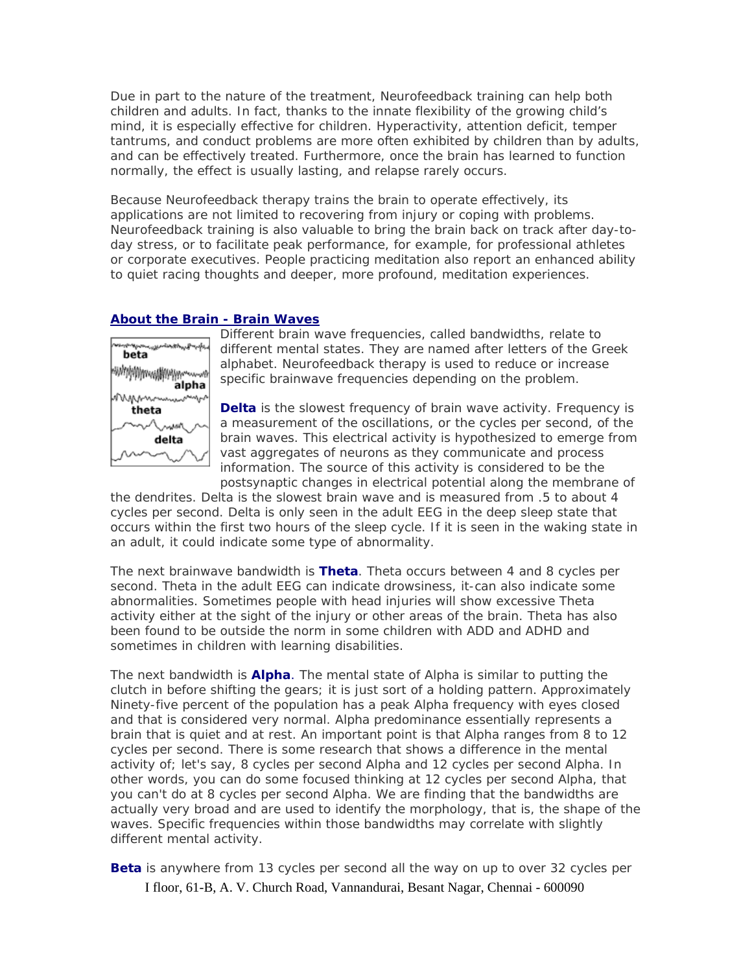Due in part to the nature of the treatment, Neurofeedback training can help both children and adults. In fact, thanks to the innate flexibility of the growing child's mind, it is especially effective for children. Hyperactivity, attention deficit, temper tantrums, and conduct problems are more often exhibited by children than by adults, and can be effectively treated. Furthermore, once the brain has learned to function normally, the effect is usually lasting, and relapse rarely occurs.

Because Neurofeedback therapy trains the brain to operate effectively, its applications are not limited to recovering from injury or coping with problems. Neurofeedback training is also valuable to bring the brain back on track after day-today stress, or to facilitate peak performance, for example, for professional athletes or corporate executives. People practicing meditation also report an enhanced ability to quiet racing thoughts and deeper, more profound, meditation experiences.

#### **About the Brain - Brain Waves**



Different brain wave frequencies, called bandwidths, relate to different mental states. They are named after letters of the Greek alphabet. Neurofeedback therapy is used to reduce or increase specific brainwave frequencies depending on the problem.

**Delta** is the slowest frequency of brain wave activity. Frequency is a measurement of the oscillations, or the cycles per second, of the brain waves. This electrical activity is hypothesized to emerge from vast aggregates of neurons as they communicate and process information. The source of this activity is considered to be the postsynaptic changes in electrical potential along the membrane of

the dendrites. Delta is the slowest brain wave and is measured from .5 to about 4 cycles per second. Delta is only seen in the adult EEG in the deep sleep state that occurs within the first two hours of the sleep cycle. If it is seen in the waking state in an adult, it could indicate some type of abnormality.

The next brainwave bandwidth is **Theta**. Theta occurs between 4 and 8 cycles per second. Theta in the adult EEG can indicate drowsiness, it-can also indicate some abnormalities. Sometimes people with head injuries will show excessive Theta activity either at the sight of the injury or other areas of the brain. Theta has also been found to be outside the norm in some children with ADD and ADHD and sometimes in children with learning disabilities.

The next bandwidth is **Alpha**. The mental state of Alpha is similar to putting the clutch in before shifting the gears; it is just sort of a holding pattern. Approximately Ninety-five percent of the population has a peak Alpha frequency with eyes closed and that is considered very normal. Alpha predominance essentially represents a brain that is quiet and at rest. An important point is that Alpha ranges from 8 to 12 cycles per second. There is some research that shows a difference in the mental activity of; let's say, 8 cycles per second Alpha and 12 cycles per second Alpha. In other words, you can do some focused thinking at 12 cycles per second Alpha, that you can't do at 8 cycles per second Alpha. We are finding that the bandwidths are actually very broad and are used to identify the morphology, that is, the shape of the waves. Specific frequencies within those bandwidths may correlate with slightly different mental activity.

**Beta** is anywhere from 13 cycles per second all the way on up to over 32 cycles per

I floor, 61-B, A. V. Church Road, Vannandurai, Besant Nagar, Chennai - 600090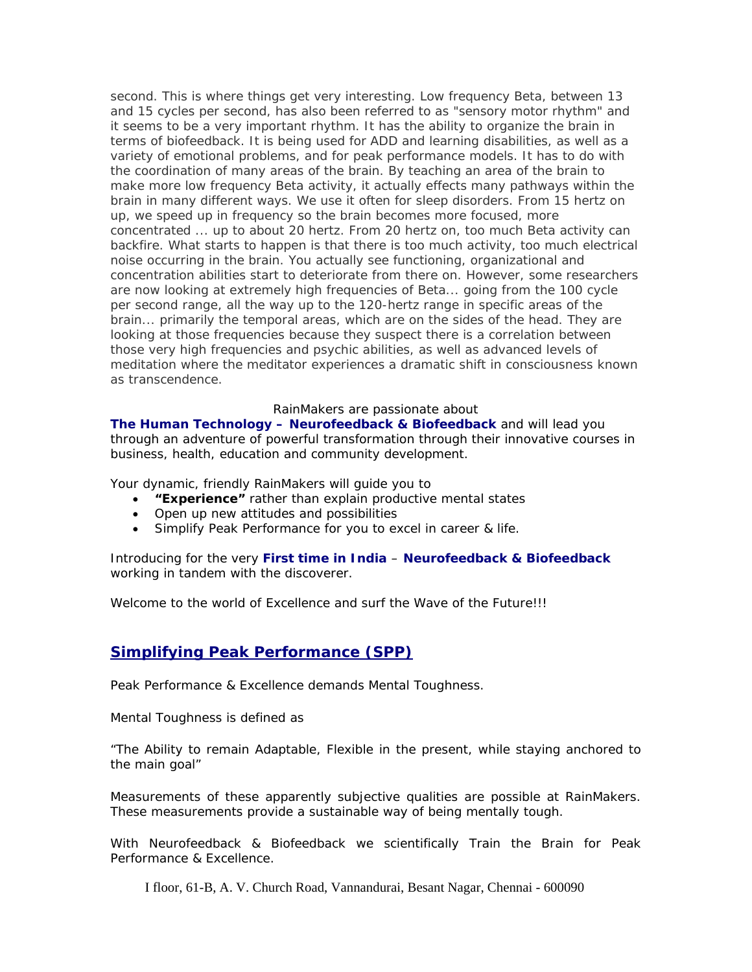second. This is where things get very interesting. Low frequency Beta, between 13 and 15 cycles per second, has also been referred to as "sensory motor rhythm" and it seems to be a very important rhythm. It has the ability to organize the brain in terms of biofeedback. It is being used for ADD and learning disabilities, as well as a variety of emotional problems, and for peak performance models. It has to do with the coordination of many areas of the brain. By teaching an area of the brain to make more low frequency Beta activity, it actually effects many pathways within the brain in many different ways. We use it often for sleep disorders. From 15 hertz on up, we speed up in frequency so the brain becomes more focused, more concentrated ... up to about 20 hertz. From 20 hertz on, too much Beta activity can backfire. What starts to happen is that there is too much activity, too much electrical noise occurring in the brain. You actually see functioning, organizational and concentration abilities start to deteriorate from there on. However, some researchers are now looking at extremely high frequencies of Beta... going from the 100 cycle per second range, all the way up to the 120-hertz range in specific areas of the brain... primarily the temporal areas, which are on the sides of the head. They are looking at those frequencies because they suspect there is a correlation between those very high frequencies and psychic abilities, as well as advanced levels of meditation where the meditator experiences a dramatic shift in consciousness known as transcendence.

#### RainMakers are passionate about

**The Human Technology – Neurofeedback & Biofeedback** and will lead you through an adventure of powerful transformation through their innovative courses in business, health, education and community development.

Your dynamic, friendly RainMakers will guide you to

- **"Experience"** rather than explain productive mental states
- Open up new attitudes and possibilities
- Simplify Peak Performance for you to excel in career & life.

Introducing for the very **First time in India** – **Neurofeedback & Biofeedback** working in tandem with the discoverer.

Welcome to the world of Excellence and surf the Wave of the Future!!!

### **Simplifying Peak Performance (SPP)**

Peak Performance & Excellence demands Mental Toughness.

Mental Toughness is defined as

"The Ability to remain Adaptable, Flexible in the present, while staying anchored to the main goal"

Measurements of these apparently subjective qualities are possible at RainMakers. These measurements provide a sustainable way of being mentally tough.

With Neurofeedback & Biofeedback we scientifically Train the Brain for Peak Performance & Excellence.

I floor, 61-B, A. V. Church Road, Vannandurai, Besant Nagar, Chennai - 600090